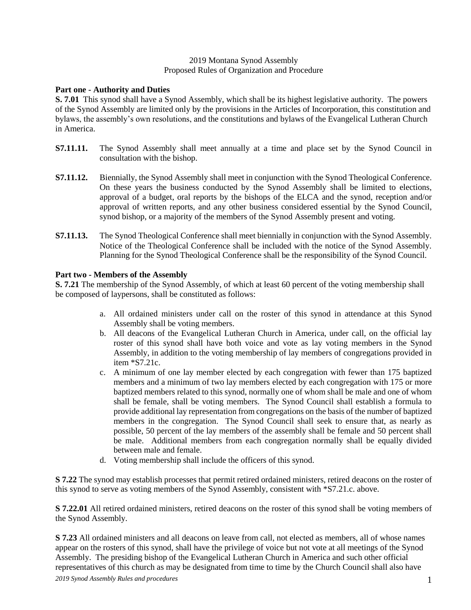### 2019 Montana Synod Assembly Proposed Rules of Organization and Procedure

## **Part one - Authority and Duties**

**S. 7.01** This synod shall have a Synod Assembly, which shall be its highest legislative authority. The powers of the Synod Assembly are limited only by the provisions in the Articles of Incorporation, this constitution and bylaws, the assembly's own resolutions, and the constitutions and bylaws of the Evangelical Lutheran Church in America.

- **S7.11.11.** The Synod Assembly shall meet annually at a time and place set by the Synod Council in consultation with the bishop.
- **S7.11.12.** Biennially, the Synod Assembly shall meet in conjunction with the Synod Theological Conference. On these years the business conducted by the Synod Assembly shall be limited to elections, approval of a budget, oral reports by the bishops of the ELCA and the synod, reception and/or approval of written reports, and any other business considered essential by the Synod Council, synod bishop, or a majority of the members of the Synod Assembly present and voting.
- **S7.11.13.** The Synod Theological Conference shall meet biennially in conjunction with the Synod Assembly. Notice of the Theological Conference shall be included with the notice of the Synod Assembly. Planning for the Synod Theological Conference shall be the responsibility of the Synod Council.

# **Part two - Members of the Assembly**

**S. 7.21** The membership of the Synod Assembly, of which at least 60 percent of the voting membership shall be composed of laypersons, shall be constituted as follows:

- a. All ordained ministers under call on the roster of this synod in attendance at this Synod Assembly shall be voting members.
- b. All deacons of the Evangelical Lutheran Church in America, under call, on the official lay roster of this synod shall have both voice and vote as lay voting members in the Synod Assembly, in addition to the voting membership of lay members of congregations provided in item \*S7.21c.
- c. A minimum of one lay member elected by each congregation with fewer than 175 baptized members and a minimum of two lay members elected by each congregation with 175 or more baptized members related to this synod, normally one of whom shall be male and one of whom shall be female, shall be voting members. The Synod Council shall establish a formula to provide additional lay representation from congregations on the basis of the number of baptized members in the congregation. The Synod Council shall seek to ensure that, as nearly as possible, 50 percent of the lay members of the assembly shall be female and 50 percent shall be male. Additional members from each congregation normally shall be equally divided between male and female.
- d. Voting membership shall include the officers of this synod.

**S 7.22** The synod may establish processes that permit retired ordained ministers, retired deacons on the roster of this synod to serve as voting members of the Synod Assembly, consistent with \*S7.21.c. above.

**S 7.22.01** All retired ordained ministers, retired deacons on the roster of this synod shall be voting members of the Synod Assembly.

**S 7.23** All ordained ministers and all deacons on leave from call, not elected as members, all of whose names appear on the rosters of this synod, shall have the privilege of voice but not vote at all meetings of the Synod Assembly. The presiding bishop of the Evangelical Lutheran Church in America and such other official representatives of this church as may be designated from time to time by the Church Council shall also have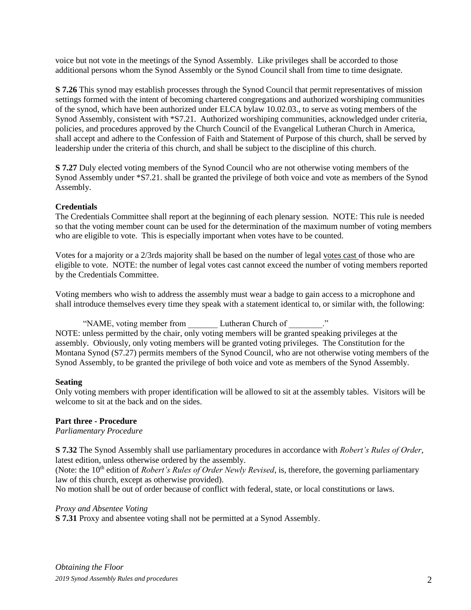voice but not vote in the meetings of the Synod Assembly. Like privileges shall be accorded to those additional persons whom the Synod Assembly or the Synod Council shall from time to time designate.

**S 7.26** This synod may establish processes through the Synod Council that permit representatives of mission settings formed with the intent of becoming chartered congregations and authorized worshiping communities of the synod, which have been authorized under ELCA bylaw 10.02.03., to serve as voting members of the Synod Assembly, consistent with \*S7.21. Authorized worshiping communities, acknowledged under criteria, policies, and procedures approved by the Church Council of the Evangelical Lutheran Church in America, shall accept and adhere to the Confession of Faith and Statement of Purpose of this church, shall be served by leadership under the criteria of this church, and shall be subject to the discipline of this church.

**S 7.27** Duly elected voting members of the Synod Council who are not otherwise voting members of the Synod Assembly under \*S7.21. shall be granted the privilege of both voice and vote as members of the Synod Assembly.

# **Credentials**

The Credentials Committee shall report at the beginning of each plenary session. NOTE: This rule is needed so that the voting member count can be used for the determination of the maximum number of voting members who are eligible to vote. This is especially important when votes have to be counted.

Votes for a majority or a 2/3rds majority shall be based on the number of legal votes cast of those who are eligible to vote. NOTE: the number of legal votes cast cannot exceed the number of voting members reported by the Credentials Committee.

Voting members who wish to address the assembly must wear a badge to gain access to a microphone and shall introduce themselves every time they speak with a statement identical to, or similar with, the following:

"NAME, voting member from Lutheran Church of ..." NOTE: unless permitted by the chair, only voting members will be granted speaking privileges at the assembly. Obviously, only voting members will be granted voting privileges. The Constitution for the Montana Synod (S7.27) permits members of the Synod Council, who are not otherwise voting members of the Synod Assembly, to be granted the privilege of both voice and vote as members of the Synod Assembly.

## **Seating**

Only voting members with proper identification will be allowed to sit at the assembly tables. Visitors will be welcome to sit at the back and on the sides.

## **Part three - Procedure**

*Parliamentary Procedure*

**S 7.32** The Synod Assembly shall use parliamentary procedures in accordance with *Robert's Rules of Order*, latest edition, unless otherwise ordered by the assembly.

(Note: the 10th edition of *Robert's Rules of Order Newly Revised*, is, therefore, the governing parliamentary law of this church, except as otherwise provided).

No motion shall be out of order because of conflict with federal, state, or local constitutions or laws.

## *Proxy and Absentee Voting*

**S 7.31** Proxy and absentee voting shall not be permitted at a Synod Assembly.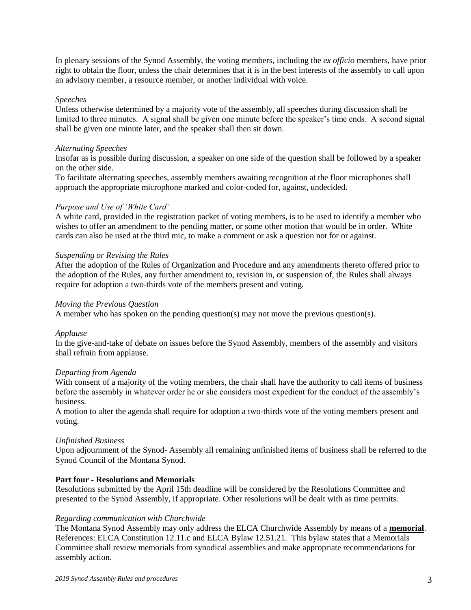In plenary sessions of the Synod Assembly, the voting members, including the *ex officio* members, have prior right to obtain the floor, unless the chair determines that it is in the best interests of the assembly to call upon an advisory member, a resource member, or another individual with voice.

### *Speeches*

Unless otherwise determined by a majority vote of the assembly, all speeches during discussion shall be limited to three minutes. A signal shall be given one minute before the speaker's time ends. A second signal shall be given one minute later, and the speaker shall then sit down.

#### *Alternating Speeches*

Insofar as is possible during discussion, a speaker on one side of the question shall be followed by a speaker on the other side.

To facilitate alternating speeches, assembly members awaiting recognition at the floor microphones shall approach the appropriate microphone marked and color-coded for, against, undecided.

#### *Purpose and Use of 'White Card'*

A white card, provided in the registration packet of voting members, is to be used to identify a member who wishes to offer an amendment to the pending matter, or some other motion that would be in order. White cards can also be used at the third mic, to make a comment or ask a question not for or against.

#### *Suspending or Revising the Rules*

After the adoption of the Rules of Organization and Procedure and any amendments thereto offered prior to the adoption of the Rules, any further amendment to, revision in, or suspension of, the Rules shall always require for adoption a two-thirds vote of the members present and voting.

#### *Moving the Previous Question*

A member who has spoken on the pending question(s) may not move the previous question(s).

#### *Applause*

In the give-and-take of debate on issues before the Synod Assembly, members of the assembly and visitors shall refrain from applause.

#### *Departing from Agenda*

With consent of a majority of the voting members, the chair shall have the authority to call items of business before the assembly in whatever order he or she considers most expedient for the conduct of the assembly's business.

A motion to alter the agenda shall require for adoption a two-thirds vote of the voting members present and voting.

### *Unfinished Business*

Upon adjournment of the Synod- Assembly all remaining unfinished items of business shall be referred to the Synod Council of the Montana Synod.

### **Part four - Resolutions and Memorials**

Resolutions submitted by the April 15th deadline will be considered by the Resolutions Committee and presented to the Synod Assembly, if appropriate. Other resolutions will be dealt with as time permits.

#### *Regarding communication with Churchwide*

The Montana Synod Assembly may only address the ELCA Churchwide Assembly by means of a **memorial**. References: ELCA Constitution 12.11.c and ELCA Bylaw 12.51.21. This bylaw states that a Memorials Committee shall review memorials from synodical assemblies and make appropriate recommendations for assembly action.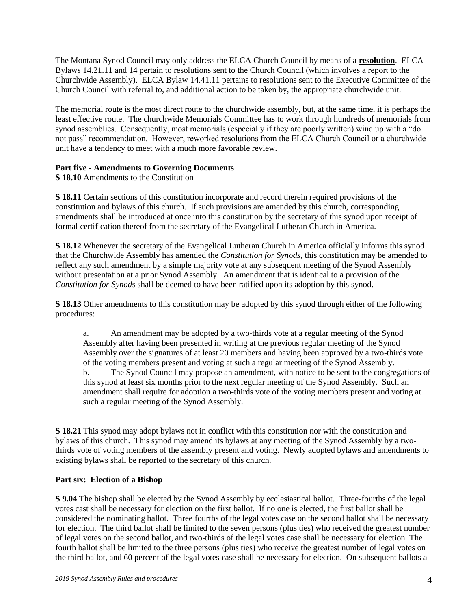The Montana Synod Council may only address the ELCA Church Council by means of a **resolution**. ELCA Bylaws 14.21.11 and 14 pertain to resolutions sent to the Church Council (which involves a report to the Churchwide Assembly). ELCA Bylaw 14.41.11 pertains to resolutions sent to the Executive Committee of the Church Council with referral to, and additional action to be taken by, the appropriate churchwide unit.

The memorial route is the most direct route to the churchwide assembly, but, at the same time, it is perhaps the least effective route. The churchwide Memorials Committee has to work through hundreds of memorials from synod assemblies. Consequently, most memorials (especially if they are poorly written) wind up with a "do not pass" recommendation. However, reworked resolutions from the ELCA Church Council or a churchwide unit have a tendency to meet with a much more favorable review.

# **Part five - Amendments to Governing Documents**

**S 18.10** Amendments to the Constitution

**S 18.11** Certain sections of this constitution incorporate and record therein required provisions of the constitution and bylaws of this church. If such provisions are amended by this church, corresponding amendments shall be introduced at once into this constitution by the secretary of this synod upon receipt of formal certification thereof from the secretary of the Evangelical Lutheran Church in America.

**S 18.12** Whenever the secretary of the Evangelical Lutheran Church in America officially informs this synod that the Churchwide Assembly has amended the *Constitution for Synods*, this constitution may be amended to reflect any such amendment by a simple majority vote at any subsequent meeting of the Synod Assembly without presentation at a prior Synod Assembly. An amendment that is identical to a provision of the *Constitution for Synods* shall be deemed to have been ratified upon its adoption by this synod.

**S 18.13** Other amendments to this constitution may be adopted by this synod through either of the following procedures:

a. An amendment may be adopted by a two-thirds vote at a regular meeting of the Synod Assembly after having been presented in writing at the previous regular meeting of the Synod Assembly over the signatures of at least 20 members and having been approved by a two-thirds vote of the voting members present and voting at such a regular meeting of the Synod Assembly. b. The Synod Council may propose an amendment, with notice to be sent to the congregations of this synod at least six months prior to the next regular meeting of the Synod Assembly. Such an amendment shall require for adoption a two-thirds vote of the voting members present and voting at such a regular meeting of the Synod Assembly.

**S 18.21** This synod may adopt bylaws not in conflict with this constitution nor with the constitution and bylaws of this church. This synod may amend its bylaws at any meeting of the Synod Assembly by a twothirds vote of voting members of the assembly present and voting. Newly adopted bylaws and amendments to existing bylaws shall be reported to the secretary of this church.

## **Part six: Election of a Bishop**

**S 9.04** The bishop shall be elected by the Synod Assembly by ecclesiastical ballot. Three-fourths of the legal votes cast shall be necessary for election on the first ballot. If no one is elected, the first ballot shall be considered the nominating ballot. Three fourths of the legal votes case on the second ballot shall be necessary for election. The third ballot shall be limited to the seven persons (plus ties) who received the greatest number of legal votes on the second ballot, and two-thirds of the legal votes case shall be necessary for election. The fourth ballot shall be limited to the three persons (plus ties) who receive the greatest number of legal votes on the third ballot, and 60 percent of the legal votes case shall be necessary for election. On subsequent ballots a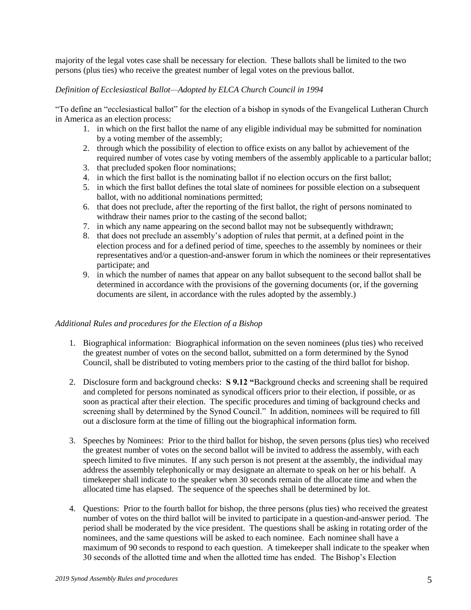majority of the legal votes case shall be necessary for election. These ballots shall be limited to the two persons (plus ties) who receive the greatest number of legal votes on the previous ballot.

# *Definition of Ecclesiastical Ballot—Adopted by ELCA Church Council in 1994*

"To define an "ecclesiastical ballot" for the election of a bishop in synods of the Evangelical Lutheran Church in America as an election process:

- 1. in which on the first ballot the name of any eligible individual may be submitted for nomination by a voting member of the assembly;
- 2. through which the possibility of election to office exists on any ballot by achievement of the required number of votes case by voting members of the assembly applicable to a particular ballot;
- 3. that precluded spoken floor nominations;
- 4. in which the first ballot is the nominating ballot if no election occurs on the first ballot;
- 5. in which the first ballot defines the total slate of nominees for possible election on a subsequent ballot, with no additional nominations permitted;
- 6. that does not preclude, after the reporting of the first ballot, the right of persons nominated to withdraw their names prior to the casting of the second ballot;
- 7. in which any name appearing on the second ballot may not be subsequently withdrawn;
- 8. that does not preclude an assembly's adoption of rules that permit, at a defined point in the election process and for a defined period of time, speeches to the assembly by nominees or their representatives and/or a question-and-answer forum in which the nominees or their representatives participate; and
- 9. in which the number of names that appear on any ballot subsequent to the second ballot shall be determined in accordance with the provisions of the governing documents (or, if the governing documents are silent, in accordance with the rules adopted by the assembly.)

## *Additional Rules and procedures for the Election of a Bishop*

- 1. Biographical information: Biographical information on the seven nominees (plus ties) who received the greatest number of votes on the second ballot, submitted on a form determined by the Synod Council, shall be distributed to voting members prior to the casting of the third ballot for bishop.
- 2. Disclosure form and background checks: **S 9.12 "**Background checks and screening shall be required and completed for persons nominated as synodical officers prior to their election, if possible, or as soon as practical after their election. The specific procedures and timing of background checks and screening shall by determined by the Synod Council." In addition, nominees will be required to fill out a disclosure form at the time of filling out the biographical information form.
- 3. Speeches by Nominees: Prior to the third ballot for bishop, the seven persons (plus ties) who received the greatest number of votes on the second ballot will be invited to address the assembly, with each speech limited to five minutes. If any such person is not present at the assembly, the individual may address the assembly telephonically or may designate an alternate to speak on her or his behalf. A timekeeper shall indicate to the speaker when 30 seconds remain of the allocate time and when the allocated time has elapsed. The sequence of the speeches shall be determined by lot.
- 4. Questions: Prior to the fourth ballot for bishop, the three persons (plus ties) who received the greatest number of votes on the third ballot will be invited to participate in a question-and-answer period. The period shall be moderated by the vice president. The questions shall be asking in rotating order of the nominees, and the same questions will be asked to each nominee. Each nominee shall have a maximum of 90 seconds to respond to each question. A timekeeper shall indicate to the speaker when 30 seconds of the allotted time and when the allotted time has ended. The Bishop's Election